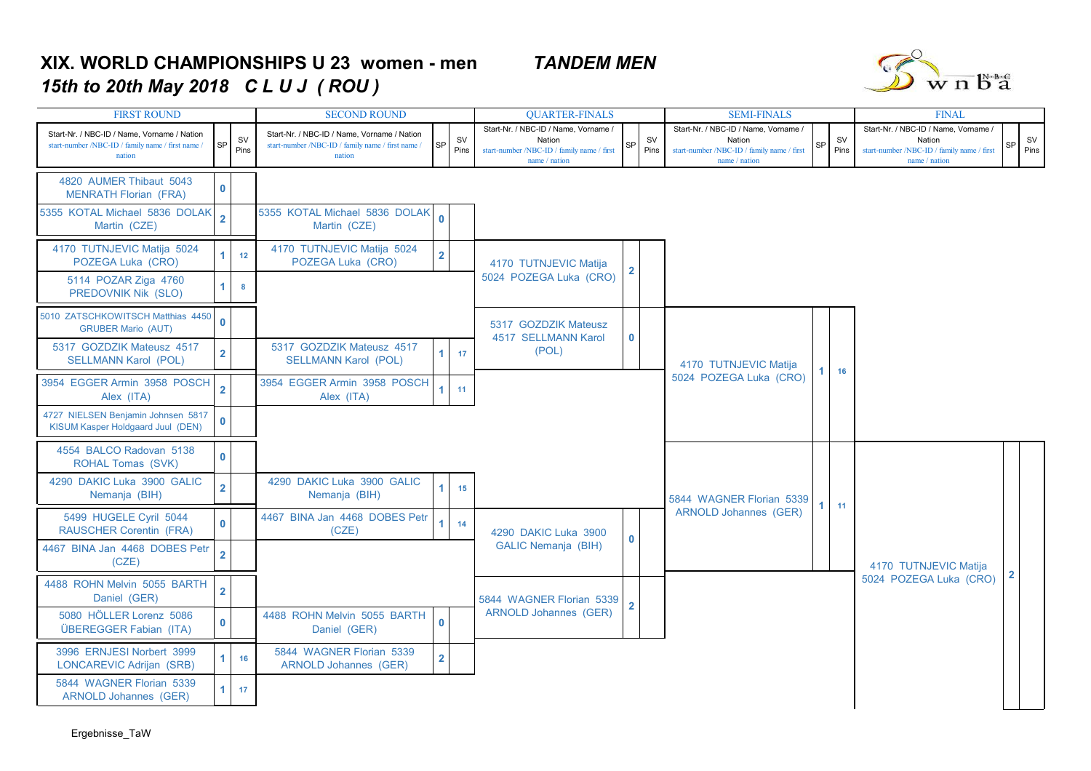## **XIX. WORLD CHAMPIONSHIPS U 23 women - men** *TANDEM MEN15th to 20th May 2018 C L U J ( ROU )*



| <b>FIRST ROUND</b>                                                                                         | <b>SECOND ROUND</b>     |                   |                                                                                                            | <b>QUARTER-FINALS</b> |                   |                                                                                                               | <b>SEMI-FINALS</b> | <b>FINAL</b>      |                                                                                                             |                       |                   |                                                                                                               |                |                   |  |
|------------------------------------------------------------------------------------------------------------|-------------------------|-------------------|------------------------------------------------------------------------------------------------------------|-----------------------|-------------------|---------------------------------------------------------------------------------------------------------------|--------------------|-------------------|-------------------------------------------------------------------------------------------------------------|-----------------------|-------------------|---------------------------------------------------------------------------------------------------------------|----------------|-------------------|--|
| Start-Nr. / NBC-ID / Name, Vorname / Nation<br>start-number /NBC-ID / family name / first name /<br>nation | SP                      | <b>SV</b><br>Pins | Start-Nr. / NBC-ID / Name, Vorname / Nation<br>start-number /NBC-ID / family name / first name /<br>nation | SP                    | <b>SV</b><br>Pins | Start-Nr. / NBC-ID / Name. Vorname /<br>Nation<br>start-number /NBC-ID / family name / first<br>name / nation | SP                 | <b>SV</b><br>Pins | Start-Nr. / NBC-ID / Name. Vorname<br>Nation<br>start-number /NBC-ID / family name / first<br>name / nation | SP                    | <b>SV</b><br>Pins | Start-Nr. / NBC-ID / Name, Vorname /<br>Nation<br>start-number /NBC-ID / family name / first<br>name / nation | SP             | <b>SV</b><br>Pins |  |
| 4820 AUMER Thibaut 5043<br><b>MENRATH Florian (FRA)</b>                                                    | $\mathbf{0}$            |                   |                                                                                                            |                       |                   |                                                                                                               |                    |                   |                                                                                                             |                       |                   |                                                                                                               |                |                   |  |
| 5355 KOTAL Michael 5836 DOLAK<br>Martin (CZE)                                                              | $\overline{2}$          |                   | 5355 KOTAL Michael 5836 DOLAK<br>Martin (CZE)                                                              | $\mathbf{0}$          |                   |                                                                                                               |                    |                   |                                                                                                             |                       |                   |                                                                                                               |                |                   |  |
| 4170 TUTNJEVIC Matija 5024<br>POZEGA Luka (CRO)                                                            |                         | 12                | 4170 TUTNJEVIC Matija 5024<br>POZEGA Luka (CRO)                                                            | $\overline{2}$        |                   | 4170 TUTNJEVIC Matija                                                                                         | 2                  |                   |                                                                                                             |                       |                   |                                                                                                               |                |                   |  |
| 5114 POZAR Ziga 4760<br>PREDOVNIK Nik (SLO)                                                                | 1                       | 8                 |                                                                                                            |                       |                   | 5024 POZEGA Luka (CRO)                                                                                        |                    |                   |                                                                                                             |                       |                   |                                                                                                               |                |                   |  |
| 5010 ZATSCHKOWITSCH Matthias 4450<br><b>GRUBER Mario (AUT)</b>                                             | $\mathbf{0}$            |                   |                                                                                                            |                       |                   | 5317 GOZDZIK Mateusz<br>4517 SELLMANN Karol                                                                   | 0                  |                   |                                                                                                             |                       |                   |                                                                                                               |                |                   |  |
| 5317 GOZDZIK Mateusz 4517<br><b>SELLMANN Karol (POL)</b>                                                   | $\overline{2}$          |                   | 5317 GOZDZIK Mateusz 4517<br><b>SELLMANN Karol (POL)</b>                                                   | 1 <sup>1</sup>        | 17                | (POL)                                                                                                         |                    |                   |                                                                                                             | 4170 TUTNJEVIC Matija |                   | 16                                                                                                            |                |                   |  |
| 3954 EGGER Armin 3958 POSCH<br>Alex (ITA)                                                                  | $\overline{2}$          |                   | 3954 EGGER Armin 3958 POSCH<br>Alex (ITA)                                                                  | $\mathbf{1}$          | 11                |                                                                                                               |                    |                   | 5024 POZEGA Luka (CRO)                                                                                      |                       |                   |                                                                                                               |                |                   |  |
| 4727 NIELSEN Benjamin Johnsen 5817<br>KISUM Kasper Holdgaard Juul (DEN)                                    | $\mathbf 0$             |                   |                                                                                                            |                       |                   |                                                                                                               |                    |                   |                                                                                                             |                       |                   |                                                                                                               |                |                   |  |
| 4554 BALCO Radovan 5138<br><b>ROHAL Tomas (SVK)</b>                                                        | $\mathbf{0}$            |                   |                                                                                                            |                       |                   |                                                                                                               |                    |                   |                                                                                                             |                       |                   |                                                                                                               |                |                   |  |
| 4290 DAKIC Luka 3900 GALIC<br>Nemanja (BIH)                                                                | $\overline{2}$          |                   | 4290 DAKIC Luka 3900 GALIC<br>Nemanja (BIH)                                                                | $\mathbf{1}$          | 15                |                                                                                                               |                    |                   | 5844 WAGNER Florian 5339                                                                                    |                       | 11                |                                                                                                               |                |                   |  |
| 5499 HUGELE Cyril 5044<br><b>RAUSCHER Corentin (FRA)</b>                                                   | $\mathbf{0}$            |                   | 4467 BINA Jan 4468 DOBES Petr<br>(CZE)                                                                     | $\blacksquare$        | 14                | 4290 DAKIC Luka 3900                                                                                          | 0                  |                   | <b>ARNOLD Johannes (GER)</b>                                                                                |                       |                   |                                                                                                               |                |                   |  |
| 4467 BINA Jan 4468 DOBES Petr<br>(CZE)                                                                     | $\overline{2}$          |                   |                                                                                                            |                       |                   | <b>GALIC Nemanja (BIH)</b>                                                                                    |                    |                   |                                                                                                             |                       |                   | 4170 TUTNJEVIC Matija<br>5024 POZEGA Luka (CRO)                                                               |                |                   |  |
| 4488 ROHN Melvin 5055 BARTH<br>Daniel (GER)                                                                | $\overline{\mathbf{2}}$ |                   |                                                                                                            |                       |                   | 5844 WAGNER Florian 5339                                                                                      | $\overline{2}$     |                   |                                                                                                             |                       |                   |                                                                                                               | $\overline{2}$ |                   |  |
| 5080 HÖLLER Lorenz 5086<br>ÜBEREGGER Fabian (ITA)                                                          | $\mathbf{0}$            |                   | 4488 ROHN Melvin 5055 BARTH<br>Daniel (GER)                                                                | $\mathbf{0}$          |                   | <b>ARNOLD Johannes (GER)</b>                                                                                  |                    |                   |                                                                                                             |                       |                   |                                                                                                               |                |                   |  |
| 3996 ERNJESI Norbert 3999<br>LONCAREVIC Adrijan (SRB)                                                      | 1.                      | 16                | 5844 WAGNER Florian 5339<br><b>ARNOLD Johannes (GER)</b>                                                   | $\overline{2}$        |                   |                                                                                                               |                    |                   |                                                                                                             |                       |                   |                                                                                                               |                |                   |  |
| 5844 WAGNER Florian 5339<br><b>ARNOLD Johannes (GER)</b>                                                   | 1.                      | 17                |                                                                                                            |                       |                   |                                                                                                               |                    |                   |                                                                                                             |                       |                   |                                                                                                               |                |                   |  |